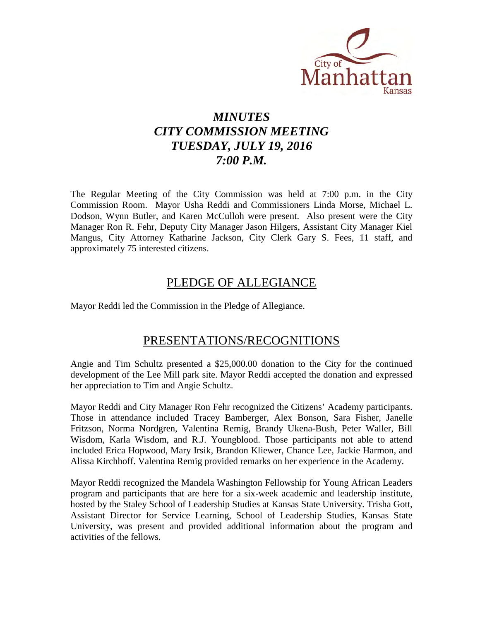

# *MINUTES CITY COMMISSION MEETING TUESDAY, JULY 19, 2016 7:00 P.M.*

The Regular Meeting of the City Commission was held at 7:00 p.m. in the City Commission Room. Mayor Usha Reddi and Commissioners Linda Morse, Michael L. Dodson, Wynn Butler, and Karen McCulloh were present. Also present were the City Manager Ron R. Fehr, Deputy City Manager Jason Hilgers, Assistant City Manager Kiel Mangus, City Attorney Katharine Jackson, City Clerk Gary S. Fees, 11 staff, and approximately 75 interested citizens.

## PLEDGE OF ALLEGIANCE

Mayor Reddi led the Commission in the Pledge of Allegiance.

## PRESENTATIONS/RECOGNITIONS

Angie and Tim Schultz presented a \$25,000.00 donation to the City for the continued development of the Lee Mill park site. Mayor Reddi accepted the donation and expressed her appreciation to Tim and Angie Schultz.

Mayor Reddi and City Manager Ron Fehr recognized the Citizens' Academy participants. Those in attendance included Tracey Bamberger, Alex Bonson, Sara Fisher, Janelle Fritzson, Norma Nordgren, Valentina Remig, Brandy Ukena-Bush, Peter Waller, Bill Wisdom, Karla Wisdom, and R.J. Youngblood. Those participants not able to attend included Erica Hopwood, Mary Irsik, Brandon Kliewer, Chance Lee, Jackie Harmon, and Alissa Kirchhoff. Valentina Remig provided remarks on her experience in the Academy.

Mayor Reddi recognized the Mandela Washington Fellowship for Young African Leaders program and participants that are here for a six-week academic and leadership institute, hosted by the Staley School of Leadership Studies at Kansas State University. Trisha Gott, Assistant Director for Service Learning, School of Leadership Studies, Kansas State University, was present and provided additional information about the program and activities of the fellows.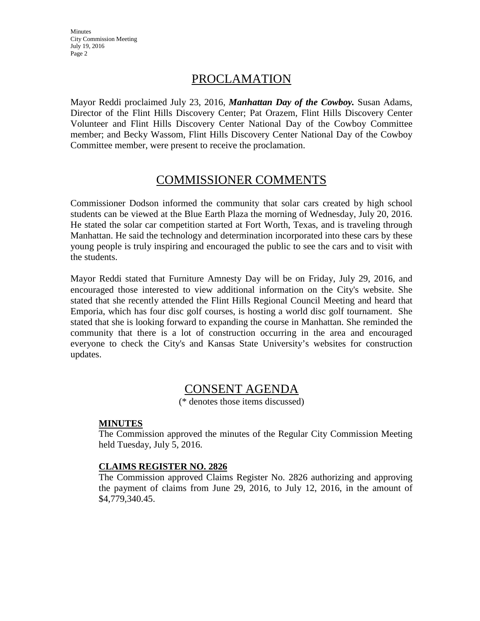## PROCLAMATION

Mayor Reddi proclaimed July 23, 2016, *Manhattan Day of the Cowboy.* Susan Adams, Director of the Flint Hills Discovery Center; Pat Orazem, Flint Hills Discovery Center Volunteer and Flint Hills Discovery Center National Day of the Cowboy Committee member; and Becky Wassom, Flint Hills Discovery Center National Day of the Cowboy Committee member, were present to receive the proclamation.

## COMMISSIONER COMMENTS

Commissioner Dodson informed the community that solar cars created by high school students can be viewed at the Blue Earth Plaza the morning of Wednesday, July 20, 2016. He stated the solar car competition started at Fort Worth, Texas, and is traveling through Manhattan. He said the technology and determination incorporated into these cars by these young people is truly inspiring and encouraged the public to see the cars and to visit with the students.

Mayor Reddi stated that Furniture Amnesty Day will be on Friday, July 29, 2016, and encouraged those interested to view additional information on the City's website. She stated that she recently attended the Flint Hills Regional Council Meeting and heard that Emporia, which has four disc golf courses, is hosting a world disc golf tournament. She stated that she is looking forward to expanding the course in Manhattan. She reminded the community that there is a lot of construction occurring in the area and encouraged everyone to check the City's and Kansas State University's websites for construction updates.

## CONSENT AGENDA

(\* denotes those items discussed)

## **MINUTES**

The Commission approved the minutes of the Regular City Commission Meeting held Tuesday, July 5, 2016.

## **CLAIMS REGISTER NO. 2826**

The Commission approved Claims Register No. 2826 authorizing and approving the payment of claims from June 29, 2016, to July 12, 2016, in the amount of \$4,779,340.45.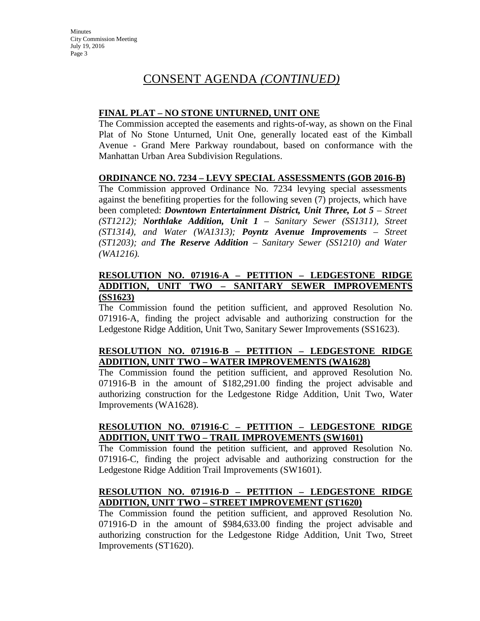# CONSENT AGENDA *(CONTINUED)*

## **FINAL PLAT – NO STONE UNTURNED, UNIT ONE**

The Commission accepted the easements and rights-of-way, as shown on the Final Plat of No Stone Unturned, Unit One, generally located east of the Kimball Avenue - Grand Mere Parkway roundabout, based on conformance with the Manhattan Urban Area Subdivision Regulations.

### **ORDINANCE NO. 7234 – LEVY SPECIAL ASSESSMENTS (GOB 2016-B)**

The Commission approved Ordinance No. 7234 levying special assessments against the benefiting properties for the following seven (7) projects, which have been completed: *Downtown Entertainment District, Unit Three, Lot 5 – Street (ST1212); Northlake Addition, Unit 1 – Sanitary Sewer (SS1311), Street (ST1314), and Water (WA1313); Poyntz Avenue Improvements – Street (ST1203); and The Reserve Addition – Sanitary Sewer (SS1210) and Water (WA1216).*

### **RESOLUTION NO. 071916-A – PETITION – LEDGESTONE RIDGE ADDITION, UNIT TWO – SANITARY SEWER IMPROVEMENTS (SS1623)**

The Commission found the petition sufficient, and approved Resolution No. 071916-A, finding the project advisable and authorizing construction for the Ledgestone Ridge Addition, Unit Two, Sanitary Sewer Improvements (SS1623).

## **RESOLUTION NO. 071916-B – PETITION – LEDGESTONE RIDGE ADDITION, UNIT TWO – WATER IMPROVEMENTS (WA1628)**

The Commission found the petition sufficient, and approved Resolution No. 071916-B in the amount of \$182,291.00 finding the project advisable and authorizing construction for the Ledgestone Ridge Addition, Unit Two, Water Improvements (WA1628).

## **RESOLUTION NO. 071916-C – PETITION – LEDGESTONE RIDGE ADDITION, UNIT TWO – TRAIL IMPROVEMENTS (SW1601)**

The Commission found the petition sufficient, and approved Resolution No. 071916-C, finding the project advisable and authorizing construction for the Ledgestone Ridge Addition Trail Improvements (SW1601).

## **RESOLUTION NO. 071916-D – PETITION – LEDGESTONE RIDGE ADDITION, UNIT TWO – STREET IMPROVEMENT (ST1620)**

The Commission found the petition sufficient, and approved Resolution No. 071916-D in the amount of \$984,633.00 finding the project advisable and authorizing construction for the Ledgestone Ridge Addition, Unit Two, Street Improvements (ST1620).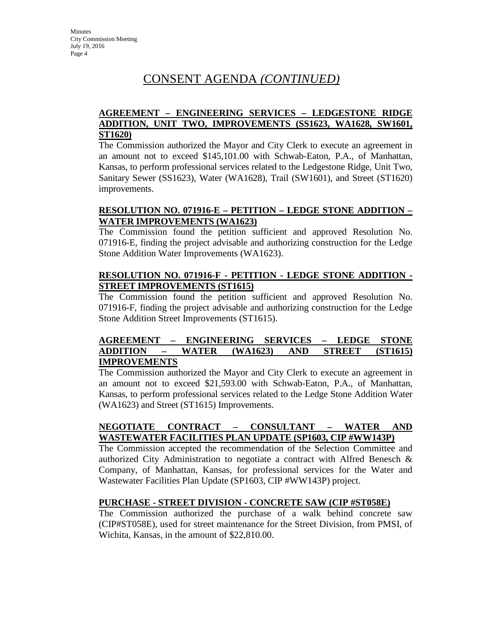# CONSENT AGENDA *(CONTINUED)*

## **AGREEMENT – ENGINEERING SERVICES – LEDGESTONE RIDGE ADDITION, UNIT TWO, IMPROVEMENTS (SS1623, WA1628, SW1601, ST1620)**

The Commission authorized the Mayor and City Clerk to execute an agreement in an amount not to exceed \$145,101.00 with Schwab-Eaton, P.A., of Manhattan, Kansas, to perform professional services related to the Ledgestone Ridge, Unit Two, Sanitary Sewer (SS1623), Water (WA1628), Trail (SW1601), and Street (ST1620) improvements.

## **RESOLUTION NO. 071916-E – PETITION – LEDGE STONE ADDITION – WATER IMPROVEMENTS (WA1623)**

The Commission found the petition sufficient and approved Resolution No. 071916-E, finding the project advisable and authorizing construction for the Ledge Stone Addition Water Improvements (WA1623).

## **RESOLUTION NO. 071916-F - PETITION - LEDGE STONE ADDITION - STREET IMPROVEMENTS (ST1615)**

The Commission found the petition sufficient and approved Resolution No. 071916-F, finding the project advisable and authorizing construction for the Ledge Stone Addition Street Improvements (ST1615).

### **AGREEMENT – ENGINEERING SERVICES – LEDGE STONE ADDITION – WATER (WA1623) AND STREET (ST1615) IMPROVEMENTS**

The Commission authorized the Mayor and City Clerk to execute an agreement in an amount not to exceed \$21,593.00 with Schwab-Eaton, P.A., of Manhattan, Kansas, to perform professional services related to the Ledge Stone Addition Water (WA1623) and Street (ST1615) Improvements.

## **NEGOTIATE CONTRACT – CONSULTANT – WATER AND WASTEWATER FACILITIES PLAN UPDATE (SP1603, CIP #WW143P)**

The Commission accepted the recommendation of the Selection Committee and authorized City Administration to negotiate a contract with Alfred Benesch & Company, of Manhattan, Kansas, for professional services for the Water and Wastewater Facilities Plan Update (SP1603, CIP #WW143P) project.

## **PURCHASE - STREET DIVISION - CONCRETE SAW (CIP #ST058E)**

The Commission authorized the purchase of a walk behind concrete saw (CIP#ST058E), used for street maintenance for the Street Division, from PMSI, of Wichita, Kansas, in the amount of \$22,810.00.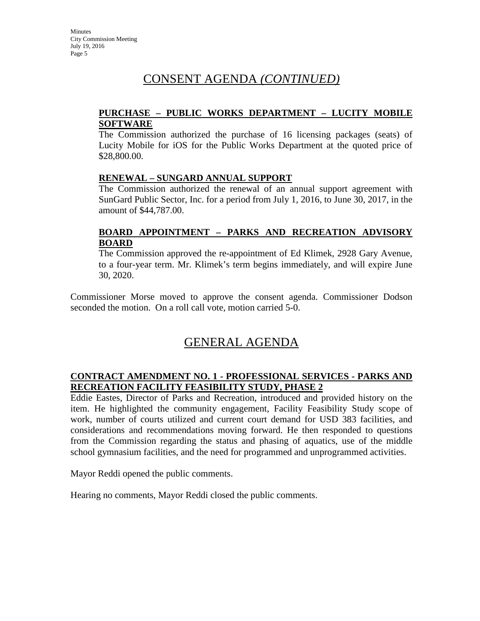# CONSENT AGENDA *(CONTINUED)*

## **PURCHASE – PUBLIC WORKS DEPARTMENT – LUCITY MOBILE SOFTWARE**

The Commission authorized the purchase of 16 licensing packages (seats) of Lucity Mobile for iOS for the Public Works Department at the quoted price of \$28,800.00.

### **RENEWAL – SUNGARD ANNUAL SUPPORT**

The Commission authorized the renewal of an annual support agreement with SunGard Public Sector, Inc. for a period from July 1, 2016, to June 30, 2017, in the amount of \$44,787.00.

## **BOARD APPOINTMENT – PARKS AND RECREATION ADVISORY BOARD**

The Commission approved the re-appointment of Ed Klimek, 2928 Gary Avenue, to a four-year term. Mr. Klimek's term begins immediately, and will expire June 30, 2020.

Commissioner Morse moved to approve the consent agenda. Commissioner Dodson seconded the motion. On a roll call vote, motion carried 5-0.

## GENERAL AGENDA

### **CONTRACT AMENDMENT NO. 1 - PROFESSIONAL SERVICES - PARKS AND RECREATION FACILITY FEASIBILITY STUDY, PHASE 2**

Eddie Eastes, Director of Parks and Recreation, introduced and provided history on the item. He highlighted the community engagement, Facility Feasibility Study scope of work, number of courts utilized and current court demand for USD 383 facilities, and considerations and recommendations moving forward. He then responded to questions from the Commission regarding the status and phasing of aquatics, use of the middle school gymnasium facilities, and the need for programmed and unprogrammed activities.

Mayor Reddi opened the public comments.

Hearing no comments, Mayor Reddi closed the public comments.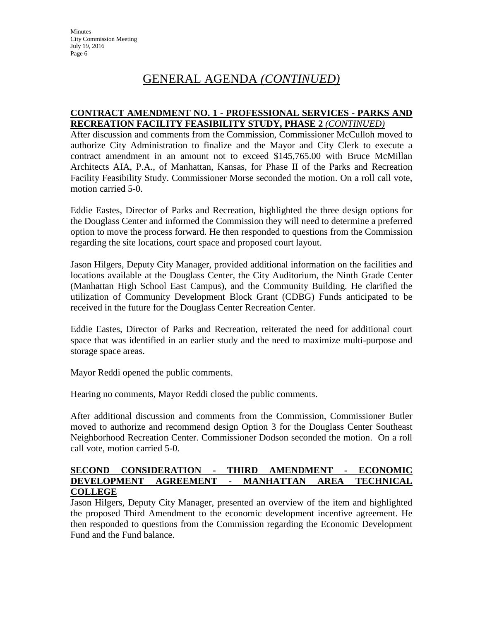### **CONTRACT AMENDMENT NO. 1 - PROFESSIONAL SERVICES - PARKS AND RECREATION FACILITY FEASIBILITY STUDY, PHASE 2** *(CONTINUED)*

After discussion and comments from the Commission, Commissioner McCulloh moved to authorize City Administration to finalize and the Mayor and City Clerk to execute a contract amendment in an amount not to exceed \$145,765.00 with Bruce McMillan Architects AIA, P.A., of Manhattan, Kansas, for Phase II of the Parks and Recreation Facility Feasibility Study. Commissioner Morse seconded the motion. On a roll call vote, motion carried 5-0.

Eddie Eastes, Director of Parks and Recreation, highlighted the three design options for the Douglass Center and informed the Commission they will need to determine a preferred option to move the process forward. He then responded to questions from the Commission regarding the site locations, court space and proposed court layout.

Jason Hilgers, Deputy City Manager, provided additional information on the facilities and locations available at the Douglass Center, the City Auditorium, the Ninth Grade Center (Manhattan High School East Campus), and the Community Building. He clarified the utilization of Community Development Block Grant (CDBG) Funds anticipated to be received in the future for the Douglass Center Recreation Center.

Eddie Eastes, Director of Parks and Recreation, reiterated the need for additional court space that was identified in an earlier study and the need to maximize multi-purpose and storage space areas.

Mayor Reddi opened the public comments.

Hearing no comments, Mayor Reddi closed the public comments.

After additional discussion and comments from the Commission, Commissioner Butler moved to authorize and recommend design Option 3 for the Douglass Center Southeast Neighborhood Recreation Center. Commissioner Dodson seconded the motion. On a roll call vote, motion carried 5-0.

### **SECOND CONSIDERATION - THIRD AMENDMENT - ECONOMIC DEVELOPMENT AGREEMENT - MANHATTAN AREA TECHNICAL COLLEGE**

Jason Hilgers, Deputy City Manager, presented an overview of the item and highlighted the proposed Third Amendment to the economic development incentive agreement. He then responded to questions from the Commission regarding the Economic Development Fund and the Fund balance.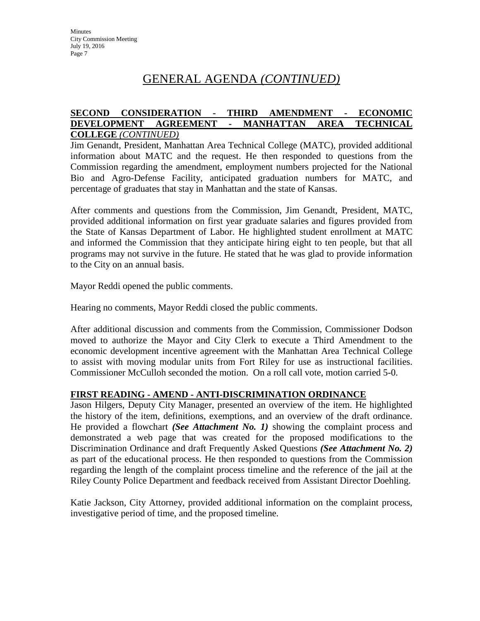### **SECOND CONSIDERATION - THIRD AMENDMENT - ECONOMIC DEVELOPMENT AGREEMENT - MANHATTAN AREA TECHNICAL COLLEGE** *(CONTINUED)*

Jim Genandt, President, Manhattan Area Technical College (MATC), provided additional information about MATC and the request. He then responded to questions from the Commission regarding the amendment, employment numbers projected for the National Bio and Agro-Defense Facility, anticipated graduation numbers for MATC, and percentage of graduates that stay in Manhattan and the state of Kansas.

After comments and questions from the Commission, Jim Genandt, President, MATC, provided additional information on first year graduate salaries and figures provided from the State of Kansas Department of Labor. He highlighted student enrollment at MATC and informed the Commission that they anticipate hiring eight to ten people, but that all programs may not survive in the future. He stated that he was glad to provide information to the City on an annual basis.

Mayor Reddi opened the public comments.

Hearing no comments, Mayor Reddi closed the public comments.

After additional discussion and comments from the Commission, Commissioner Dodson moved to authorize the Mayor and City Clerk to execute a Third Amendment to the economic development incentive agreement with the Manhattan Area Technical College to assist with moving modular units from Fort Riley for use as instructional facilities. Commissioner McCulloh seconded the motion. On a roll call vote, motion carried 5-0.

### **FIRST READING - AMEND - ANTI-DISCRIMINATION ORDINANCE**

Jason Hilgers, Deputy City Manager, presented an overview of the item. He highlighted the history of the item, definitions, exemptions, and an overview of the draft ordinance. He provided a flowchart *(See Attachment No. 1)* showing the complaint process and demonstrated a web page that was created for the proposed modifications to the Discrimination Ordinance and draft Frequently Asked Questions *(See Attachment No. 2)* as part of the educational process. He then responded to questions from the Commission regarding the length of the complaint process timeline and the reference of the jail at the Riley County Police Department and feedback received from Assistant Director Doehling.

Katie Jackson, City Attorney, provided additional information on the complaint process, investigative period of time, and the proposed timeline.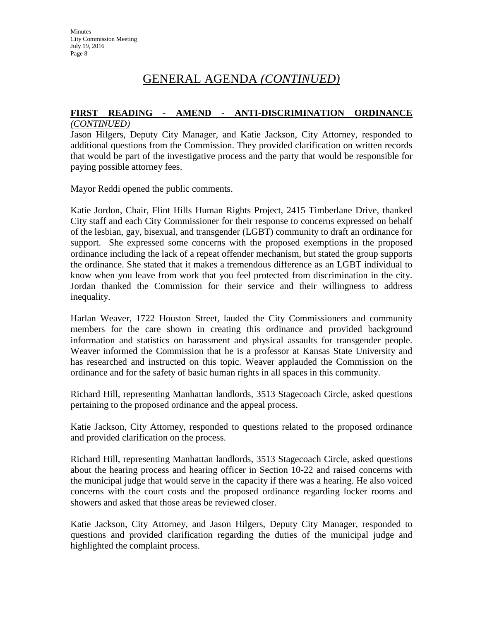# **FIRST READING - AMEND - ANTI-DISCRIMINATION ORDINANCE**

## *(CONTINUED)*

Jason Hilgers, Deputy City Manager, and Katie Jackson, City Attorney, responded to additional questions from the Commission. They provided clarification on written records that would be part of the investigative process and the party that would be responsible for paying possible attorney fees.

Mayor Reddi opened the public comments.

Katie Jordon, Chair, Flint Hills Human Rights Project, 2415 Timberlane Drive, thanked City staff and each City Commissioner for their response to concerns expressed on behalf of the lesbian, gay, bisexual, and transgender (LGBT) community to draft an ordinance for support. She expressed some concerns with the proposed exemptions in the proposed ordinance including the lack of a repeat offender mechanism, but stated the group supports the ordinance. She stated that it makes a tremendous difference as an LGBT individual to know when you leave from work that you feel protected from discrimination in the city. Jordan thanked the Commission for their service and their willingness to address inequality.

Harlan Weaver, 1722 Houston Street, lauded the City Commissioners and community members for the care shown in creating this ordinance and provided background information and statistics on harassment and physical assaults for transgender people. Weaver informed the Commission that he is a professor at Kansas State University and has researched and instructed on this topic. Weaver applauded the Commission on the ordinance and for the safety of basic human rights in all spaces in this community.

Richard Hill, representing Manhattan landlords, 3513 Stagecoach Circle, asked questions pertaining to the proposed ordinance and the appeal process.

Katie Jackson, City Attorney, responded to questions related to the proposed ordinance and provided clarification on the process.

Richard Hill, representing Manhattan landlords, 3513 Stagecoach Circle, asked questions about the hearing process and hearing officer in Section 10-22 and raised concerns with the municipal judge that would serve in the capacity if there was a hearing. He also voiced concerns with the court costs and the proposed ordinance regarding locker rooms and showers and asked that those areas be reviewed closer.

Katie Jackson, City Attorney, and Jason Hilgers, Deputy City Manager, responded to questions and provided clarification regarding the duties of the municipal judge and highlighted the complaint process.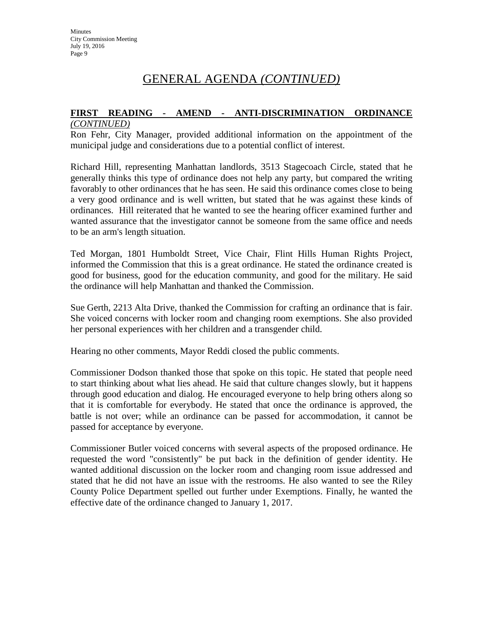## **FIRST READING - AMEND - ANTI-DISCRIMINATION ORDINANCE**

### *(CONTINUED)*

Ron Fehr, City Manager, provided additional information on the appointment of the municipal judge and considerations due to a potential conflict of interest.

Richard Hill, representing Manhattan landlords, 3513 Stagecoach Circle, stated that he generally thinks this type of ordinance does not help any party, but compared the writing favorably to other ordinances that he has seen. He said this ordinance comes close to being a very good ordinance and is well written, but stated that he was against these kinds of ordinances. Hill reiterated that he wanted to see the hearing officer examined further and wanted assurance that the investigator cannot be someone from the same office and needs to be an arm's length situation.

Ted Morgan, 1801 Humboldt Street, Vice Chair, Flint Hills Human Rights Project, informed the Commission that this is a great ordinance. He stated the ordinance created is good for business, good for the education community, and good for the military. He said the ordinance will help Manhattan and thanked the Commission.

Sue Gerth, 2213 Alta Drive, thanked the Commission for crafting an ordinance that is fair. She voiced concerns with locker room and changing room exemptions. She also provided her personal experiences with her children and a transgender child.

Hearing no other comments, Mayor Reddi closed the public comments.

Commissioner Dodson thanked those that spoke on this topic. He stated that people need to start thinking about what lies ahead. He said that culture changes slowly, but it happens through good education and dialog. He encouraged everyone to help bring others along so that it is comfortable for everybody. He stated that once the ordinance is approved, the battle is not over; while an ordinance can be passed for accommodation, it cannot be passed for acceptance by everyone.

Commissioner Butler voiced concerns with several aspects of the proposed ordinance. He requested the word "consistently" be put back in the definition of gender identity. He wanted additional discussion on the locker room and changing room issue addressed and stated that he did not have an issue with the restrooms. He also wanted to see the Riley County Police Department spelled out further under Exemptions. Finally, he wanted the effective date of the ordinance changed to January 1, 2017.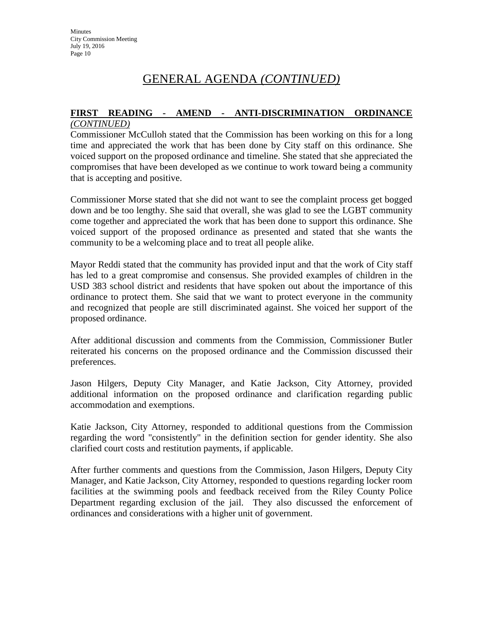# **FIRST READING - AMEND - ANTI-DISCRIMINATION ORDINANCE**

## *(CONTINUED)*

Commissioner McCulloh stated that the Commission has been working on this for a long time and appreciated the work that has been done by City staff on this ordinance. She voiced support on the proposed ordinance and timeline. She stated that she appreciated the compromises that have been developed as we continue to work toward being a community that is accepting and positive.

Commissioner Morse stated that she did not want to see the complaint process get bogged down and be too lengthy. She said that overall, she was glad to see the LGBT community come together and appreciated the work that has been done to support this ordinance. She voiced support of the proposed ordinance as presented and stated that she wants the community to be a welcoming place and to treat all people alike.

Mayor Reddi stated that the community has provided input and that the work of City staff has led to a great compromise and consensus. She provided examples of children in the USD 383 school district and residents that have spoken out about the importance of this ordinance to protect them. She said that we want to protect everyone in the community and recognized that people are still discriminated against. She voiced her support of the proposed ordinance.

After additional discussion and comments from the Commission, Commissioner Butler reiterated his concerns on the proposed ordinance and the Commission discussed their preferences.

Jason Hilgers, Deputy City Manager, and Katie Jackson, City Attorney, provided additional information on the proposed ordinance and clarification regarding public accommodation and exemptions.

Katie Jackson, City Attorney, responded to additional questions from the Commission regarding the word "consistently" in the definition section for gender identity. She also clarified court costs and restitution payments, if applicable.

After further comments and questions from the Commission, Jason Hilgers, Deputy City Manager, and Katie Jackson, City Attorney, responded to questions regarding locker room facilities at the swimming pools and feedback received from the Riley County Police Department regarding exclusion of the jail. They also discussed the enforcement of ordinances and considerations with a higher unit of government.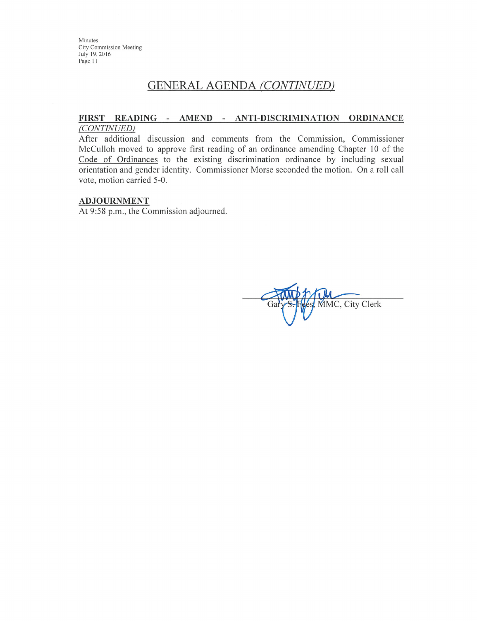## **GENERAL AGENDA (CONTINUED)**

### FIRST READING - AMEND - ANTI-DISCRIMINATION ORDINANCE (CONTINUED)

After additional discussion and comments from the Commission, Commissioner McCulloh moved to approve first reading of an ordinance amending Chapter 10 of the Code of Ordinances to the existing discrimination ordinance by including sexual orientation and gender identity. Commissioner Morse seconded the motion. On a roll call vote, motion carried 5-0.

#### **ADJOURNMENT**

At 9:58 p.m., the Commission adjourned.

MMC, City Clerk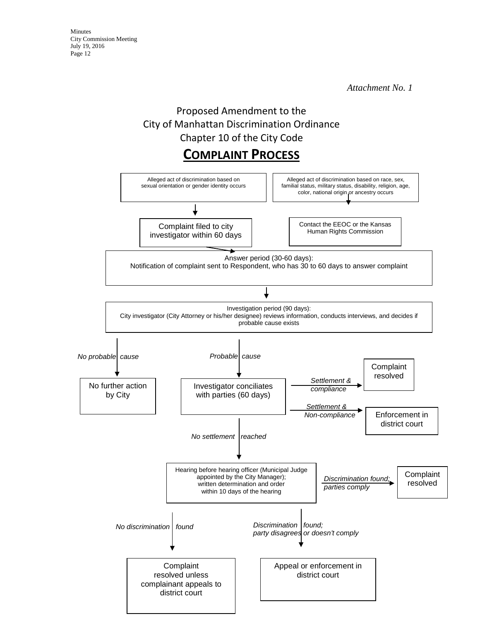*Attachment No. 1* 

# Proposed Amendment to the City of Manhattan Discrimination Ordinance Chapter 10 of the City Code

# **COMPLAINT PROCESS**

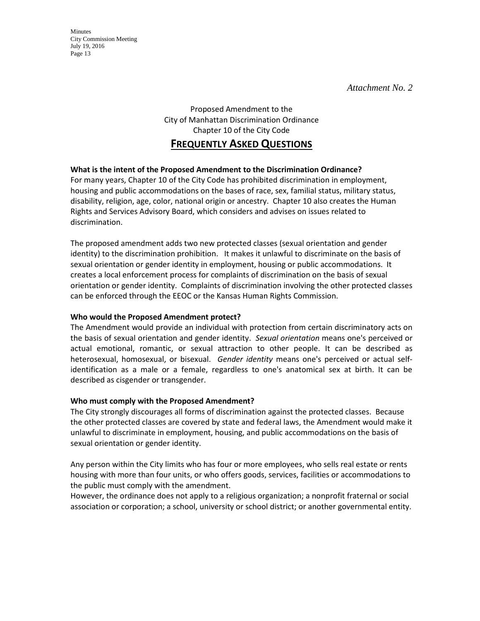*Attachment No. 2* 

Minutes City Commission Meeting July 19, 2016 Page 13

> Proposed Amendment to the City of Manhattan Discrimination Ordinance Chapter 10 of the City Code

## **FREQUENTLY ASKED QUESTIONS**

### **What is the intent of the Proposed Amendment to the Discrimination Ordinance?**

For many years, Chapter 10 of the City Code has prohibited discrimination in employment, housing and public accommodations on the bases of race, sex, familial status, military status, disability, religion, age, color, national origin or ancestry. Chapter 10 also creates the Human Rights and Services Advisory Board, which considers and advises on issues related to discrimination.

The proposed amendment adds two new protected classes (sexual orientation and gender identity) to the discrimination prohibition. It makes it unlawful to discriminate on the basis of sexual orientation or gender identity in employment, housing or public accommodations. It creates a local enforcement process for complaints of discrimination on the basis of sexual orientation or gender identity. Complaints of discrimination involving the other protected classes can be enforced through the EEOC or the Kansas Human Rights Commission.

### **Who would the Proposed Amendment protect?**

The Amendment would provide an individual with protection from certain discriminatory acts on the basis of sexual orientation and gender identity. *Sexual orientation* means one's perceived or actual emotional, romantic, or sexual attraction to other people. It can be described as heterosexual, homosexual, or bisexual. *Gender identity* means one's perceived or actual selfidentification as a male or a female, regardless to one's anatomical sex at birth. It can be described as cisgender or transgender.

### **Who must comply with the Proposed Amendment?**

The City strongly discourages all forms of discrimination against the protected classes. Because the other protected classes are covered by state and federal laws, the Amendment would make it unlawful to discriminate in employment, housing, and public accommodations on the basis of sexual orientation or gender identity.

Any person within the City limits who has four or more employees, who sells real estate or rents housing with more than four units, or who offers goods, services, facilities or accommodations to the public must comply with the amendment.

However, the ordinance does not apply to a religious organization; a nonprofit fraternal or social association or corporation; a school, university or school district; or another governmental entity.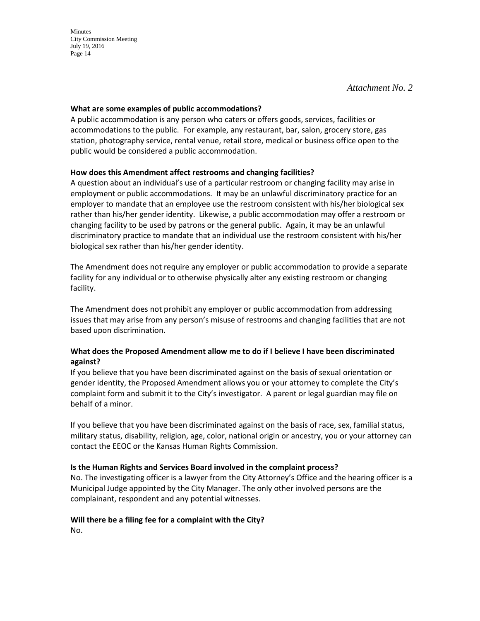*Attachment No. 2* 

#### **What are some examples of public accommodations?**

A public accommodation is any person who caters or offers goods, services, facilities or accommodations to the public. For example, any restaurant, bar, salon, grocery store, gas station, photography service, rental venue, retail store, medical or business office open to the public would be considered a public accommodation.

### **How does this Amendment affect restrooms and changing facilities?**

A question about an individual's use of a particular restroom or changing facility may arise in employment or public accommodations. It may be an unlawful discriminatory practice for an employer to mandate that an employee use the restroom consistent with his/her biological sex rather than his/her gender identity. Likewise, a public accommodation may offer a restroom or changing facility to be used by patrons or the general public. Again, it may be an unlawful discriminatory practice to mandate that an individual use the restroom consistent with his/her biological sex rather than his/her gender identity.

The Amendment does not require any employer or public accommodation to provide a separate facility for any individual or to otherwise physically alter any existing restroom or changing facility.

The Amendment does not prohibit any employer or public accommodation from addressing issues that may arise from any person's misuse of restrooms and changing facilities that are not based upon discrimination.

### **What does the Proposed Amendment allow me to do if I believe I have been discriminated against?**

If you believe that you have been discriminated against on the basis of sexual orientation or gender identity, the Proposed Amendment allows you or your attorney to complete the City's complaint form and submit it to the City's investigator. A parent or legal guardian may file on behalf of a minor.

If you believe that you have been discriminated against on the basis of race, sex, familial status, military status, disability, religion, age, color, national origin or ancestry, you or your attorney can contact the EEOC or the Kansas Human Rights Commission.

### **Is the Human Rights and Services Board involved in the complaint process?**

No. The investigating officer is a lawyer from the City Attorney's Office and the hearing officer is a Municipal Judge appointed by the City Manager. The only other involved persons are the complainant, respondent and any potential witnesses.

## **Will there be a filing fee for a complaint with the City?**

No.